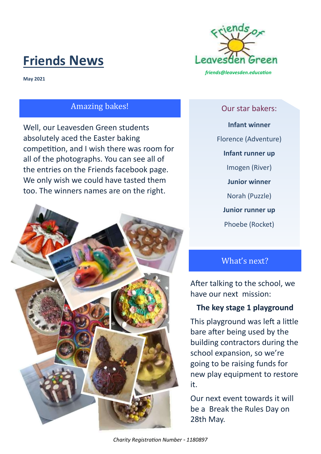# **Friends News**



**May 2021**

# Amazing bakes!

Well, our Leavesden Green students absolutely aced the Easter baking competition, and I wish there was room for all of the photographs. You can see all of the entries on the Friends facebook page. We only wish we could have tasted them too. The winners names are on the right.



#### Our star bakers:

**Infant winner**

Florence (Adventure)

**Infant runner up**

Imogen (River)

**Junior winner**

Norah (Puzzle)

**Junior runner up**

Phoebe (Rocket)

# What's next?

After talking to the school, we have our next mission:

# **The key stage 1 playground**

This playground was left a little bare after being used by the building contractors during the school expansion, so we're going to be raising funds for new play equipment to restore it.

Our next event towards it will be a Break the Rules Day on 28th May.